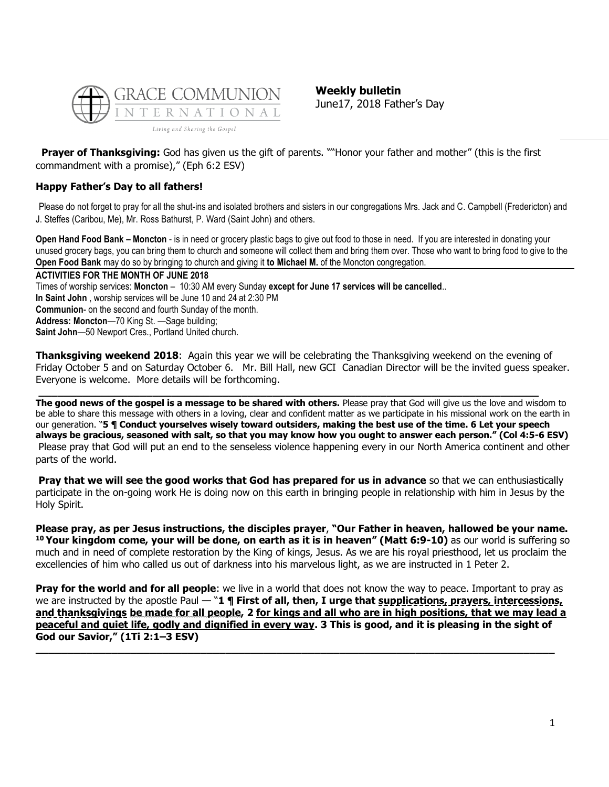

**Weekly bulletin** June17, 2018 Father's Day

**Prayer of Thanksgiving:** God has given us the gift of parents. ""Honor your father and mother" (this is the first commandment with a promise)," (Eph 6:2 ESV)

# **Happy Father's Day to all fathers!**

Please do not forget to pray for all the shut-ins and isolated brothers and sisters in our congregations Mrs. Jack and C. Campbell (Fredericton) and J. Steffes (Caribou, Me), Mr. Ross Bathurst, P. Ward (Saint John) and others.

**Open Hand Food Bank – Moncton** - is in need or grocery plastic bags to give out food to those in need. If you are interested in donating your unused grocery bags, you can bring them to church and someone will collect them and bring them over. Those who want to bring food to give to the **Open Food Bank** may do so by bringing to church and giving it **to Michael M.** of the Moncton congregation.

**ACTIVITIES FOR THE MONTH OF JUNE 2018** Times of worship services: **Moncton** – 10:30 AM every Sunday **except for June 17 services will be cancelled**.. **In Saint John** , worship services will be June 10 and 24 at 2:30 PM **Communion**- on the second and fourth Sunday of the month. **Address: Moncton**—70 King St. —Sage building; **Saint John**—50 Newport Cres., Portland United church.

**Thanksgiving weekend 2018**: Again this year we will be celebrating the Thanksgiving weekend on the evening of Friday October 5 and on Saturday October 6. Mr. Bill Hall, new GCI Canadian Director will be the invited guess speaker. Everyone is welcome. More details will be forthcoming.

**\_\_\_\_\_\_\_\_\_\_\_\_\_\_\_\_\_\_\_\_\_\_\_\_\_\_\_\_\_\_\_\_\_\_\_\_\_\_\_\_\_\_\_\_\_\_\_\_\_\_\_\_\_\_\_\_\_\_\_\_\_\_\_\_\_\_\_\_\_\_\_\_\_\_\_\_\_\_\_**

**The good news of the gospel is a message to be shared with others.** Please pray that God will give us the love and wisdom to be able to share this message with others in a loving, clear and confident matter as we participate in his missional work on the earth in our generation. "**5 ¶ Conduct yourselves wisely toward outsiders, making the best use of the time. 6 Let your speech always be gracious, seasoned with salt, so that you may know how you ought to answer each person." (Col 4:5-6 ESV)** Please pray that God will put an end to the senseless violence happening every in our North America continent and other parts of the world.

**Pray that we will see the good works that God has prepared for us in advance** so that we can enthusiastically participate in the on-going work He is doing now on this earth in bringing people in relationship with him in Jesus by the Holy Spirit.

**Please pray, as per Jesus instructions, the disciples prayer**, **"Our Father in heaven, hallowed be your name. <sup>10</sup> Your kingdom come, your will be done, on earth as it is in heaven" (Matt 6:9-10)** as our world is suffering so much and in need of complete restoration by the King of kings, Jesus. As we are his royal priesthood, let us proclaim the excellencies of him who called us out of darkness into his marvelous light, as we are instructed in 1 Peter 2.

**Pray for the world and for all people**: we live in a world that does not know the way to peace. Important to pray as we are instructed by the apostle Paul — "1 **¶ First of all, then, I urge that supplications, prayers, intercessions, and thanksgivings be made for all people, 2 for kings and all who are in high positions, that we may lead a peaceful and quiet life, godly and dignified in every way. 3 This is good, and it is pleasing in the sight of God our Savior," (1Ti 2:1–3 ESV) \_\_\_\_\_\_\_\_\_\_\_\_\_\_\_\_\_\_\_\_\_\_\_\_\_\_\_\_\_\_\_\_\_\_\_\_\_\_\_\_\_\_\_\_\_\_\_\_\_\_\_\_\_\_\_\_\_\_\_\_\_\_\_\_\_\_\_\_\_\_\_\_\_\_\_\_\_\_\_\_\_\_**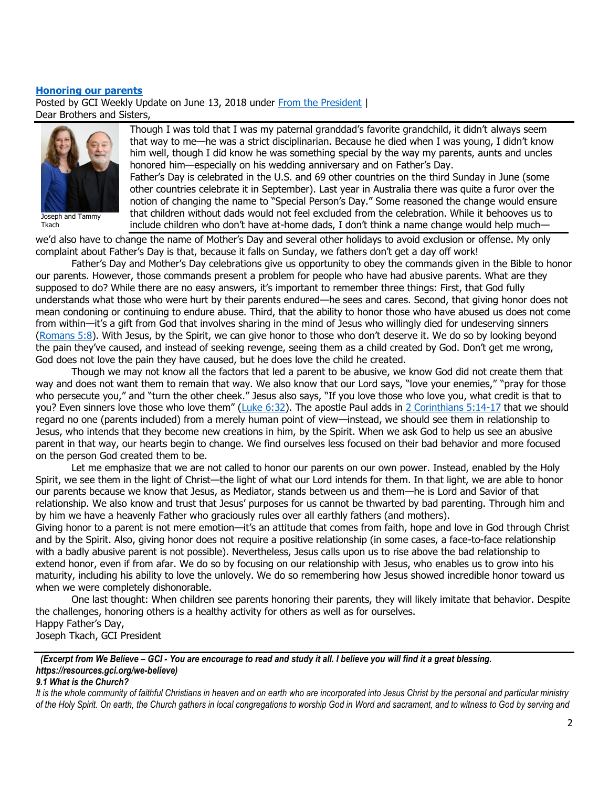#### **[Honoring our parents](https://update.gci.org/2018/06/honoring-our-parents/)**

Posted by GCI Weekly Update on June 13, 2018 under [From the President](https://update.gci.org/category/president/) | Dear Brothers and Sisters,



Joseph and Tammy Tkach

Though I was told that I was my paternal granddad's favorite grandchild, it didn't always seem that way to me—he was a strict disciplinarian. Because he died when I was young, I didn't know him well, though I did know he was something special by the way my parents, aunts and uncles honored him—especially on his wedding anniversary and on Father's Day.

Father's Day is celebrated in the U.S. and 69 other countries on the third Sunday in June (some other countries celebrate it in September). Last year in Australia there was quite a furor over the notion of changing the name to "Special Person's Day." Some reasoned the change would ensure that children without dads would not feel excluded from the celebration. While it behooves us to include children who don't have at-home dads, I don't think a name change would help much—

we'd also have to change the name of Mother's Day and several other holidays to avoid exclusion or offense. My only complaint about Father's Day is that, because it falls on Sunday, we fathers don't get a day off work!

Father's Day and Mother's Day celebrations give us opportunity to obey the commands given in the Bible to honor our parents. However, those commands present a problem for people who have had abusive parents. What are they supposed to do? While there are no easy answers, it's important to remember three things: First, that God fully understands what those who were hurt by their parents endured—he sees and cares. Second, that giving honor does not mean condoning or continuing to endure abuse. Third, that the ability to honor those who have abused us does not come from within—it's a gift from God that involves sharing in the mind of Jesus who willingly died for undeserving sinners [\(Romans 5:8\)](https://biblia.com/bible/niv/Rom%205.8). With Jesus, by the Spirit, we can give honor to those who don't deserve it. We do so by looking beyond the pain they've caused, and instead of seeking revenge, seeing them as a child created by God. Don't get me wrong, God does not love the pain they have caused, but he does love the child he created.

Though we may not know all the factors that led a parent to be abusive, we know God did not create them that way and does not want them to remain that way. We also know that our Lord says, "love your enemies," "pray for those who persecute you," and "turn the other cheek." Jesus also says, "If you love those who love you, what credit is that to you? Even sinners love those who love them" (Luke [6:32\)](https://biblia.com/bible/niv/Luke%206.32). The apostle Paul adds in [2 Corinthians 5:14-17](https://biblia.com/bible/niv/2%20Cor%205.14-17) that we should regard no one (parents included) from a merely human point of view—instead, we should see them in relationship to Jesus, who intends that they become new creations in him, by the Spirit. When we ask God to help us see an abusive parent in that way, our hearts begin to change. We find ourselves less focused on their bad behavior and more focused on the person God created them to be.

Let me emphasize that we are not called to honor our parents on our own power. Instead, enabled by the Holy Spirit, we see them in the light of Christ—the light of what our Lord intends for them. In that light, we are able to honor our parents because we know that Jesus, as Mediator, stands between us and them—he is Lord and Savior of that relationship. We also know and trust that Jesus' purposes for us cannot be thwarted by bad parenting. Through him and by him we have a heavenly Father who graciously rules over all earthly fathers (and mothers).

Giving honor to a parent is not mere emotion—it's an attitude that comes from faith, hope and love in God through Christ and by the Spirit. Also, giving honor does not require a positive relationship (in some cases, a face-to-face relationship with a badly abusive parent is not possible). Nevertheless, Jesus calls upon us to rise above the bad relationship to extend honor, even if from afar. We do so by focusing on our relationship with Jesus, who enables us to grow into his maturity, including his ability to love the unlovely. We do so remembering how Jesus showed incredible honor toward us when we were completely dishonorable.

One last thought: When children see parents honoring their parents, they will likely imitate that behavior. Despite the challenges, honoring others is a healthy activity for others as well as for ourselves. Happy Father's Day, Joseph Tkach, GCI President

 *(Excerpt from We Believe – GCI - You are encourage to read and study it all. I believe you will find it a great blessing. https://resources.gci.org/we-believe)*

#### *9.1 What is the Church?*

*It is the whole community of faithful Christians in heaven and on earth who are incorporated into Jesus Christ by the personal and particular ministry of the Holy Spirit. On earth, the Church gathers in local congregations to worship God in Word and sacrament, and to witness to God by serving and*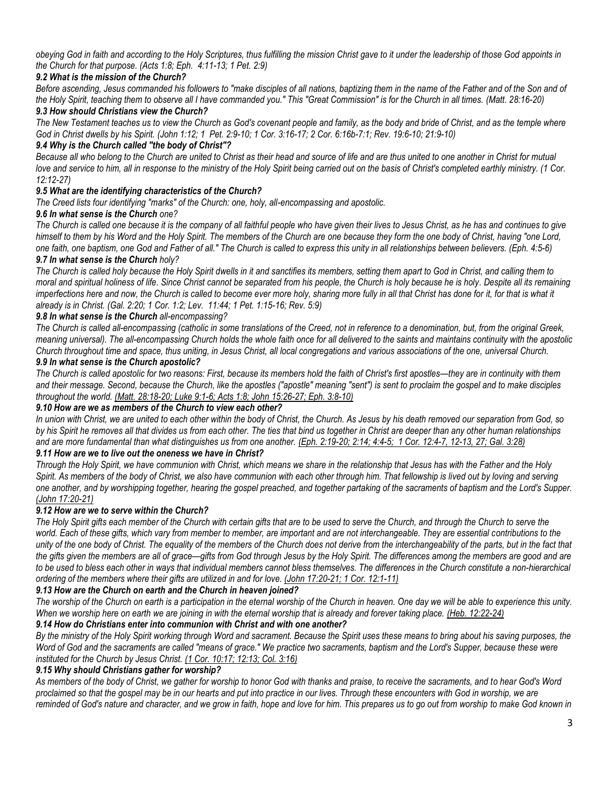*obeying God in faith and according to the Holy Scriptures, thus fulfilling the mission Christ gave to it under the leadership of those God appoints in the Church for that purpose. (Acts 1:8; Eph. 4:11-13; 1 Pet. 2:9)*

## *9.2 What is the mission of the Church?*

Before ascending, Jesus commanded his followers to "make disciples of all nations, baptizing them in the name of the Father and of the Son and of *the Holy Spirit, teaching them to observe all I have commanded you." This "Great Commission" is for the Church in all times. (Matt. 28:16-20)*

## *9.3 How should Christians view the Church?*

*The New Testament teaches us to view the Church as God's covenant people and family, as the body and bride of Christ, and as the temple where God in Christ dwells by his Spirit. (John 1:12; 1 Pet. 2:9-10; 1 Cor. 3:16-17; 2 Cor. 6:16b-7:1; Rev. 19:6-10; 21:9-10)*

### *9.4 Why is the Church called "the body of Christ"?*

*Because all who belong to the Church are united to Christ as their head and source of life and are thus united to one another in Christ for mutual*  love and service to him, all in response to the ministry of the Holy Spirit being carried out on the basis of Christ's completed earthly ministry. (1 Cor. *12:12-27)*

#### *9.5 What are the identifying characteristics of the Church?*

*The Creed lists four identifying "marks" of the Church: one, holy, all-encompassing and apostolic.*

#### *9.6 In what sense is the Church one?*

*The Church is called one because it is the company of all faithful people who have given their lives to Jesus Christ, as he has and continues to give himself to them by his Word and the Holy Spirit. The members of the Church are one because they form the one body of Christ, having "one Lord, one faith, one baptism, one God and Father of all." The Church is called to express this unity in all relationships between believers. (Eph. 4:5-6)*

#### *9.7 In what sense is the Church holy?*

*The Church is called holy because the Holy Spirit dwells in it and sanctifies its members, setting them apart to God in Christ, and calling them to moral and spiritual holiness of life. Since Christ cannot be separated from his people, the Church is holy because he is holy. Despite all its remaining imperfections here and now, the Church is called to become ever more holy, sharing more fully in all that Christ has done for it, for that is what it already is in Christ. (Gal. 2:20; 1 Cor. 1:2; Lev. 11:44; 1 Pet. 1:15-16; Rev. 5:9)*

### *9.8 In what sense is the Church all-encompassing?*

*The Church is called all-encompassing (catholic in some translations of the Creed, not in reference to a denomination, but, from the original Greek, meaning universal). The all-encompassing Church holds the whole faith once for all delivered to the saints and maintains continuity with the apostolic Church throughout time and space, thus uniting, in Jesus Christ, all local congregations and various associations of the one, universal Church.*

## *9.9 In what sense is the Church apostolic?*

*The Church is called apostolic for two reasons: First, because its members hold the faith of Christ's first apostles—they are in continuity with them and their message. Second, because the Church, like the apostles ("apostle" meaning "sent") is sent to proclaim the gospel and to make disciples throughout the world. (Matt. 28:18-20; Luke 9:1-6; Acts 1:8; John 15:26-27; Eph. 3:8-10)*

### *9.10 How are we as members of the Church to view each other?*

*In union with Christ, we are united to each other within the body of Christ, the Church. As Jesus by his death removed our separation from God, so by his Spirit he removes all that divides us from each other. The ties that bind us together in Christ are deeper than any other human relationships and are more fundamental than what distinguishes us from one another. (Eph. 2:19-20; 2:14; 4:4-5; 1 Cor. 12:4-7, 12-13, 27; Gal. 3:28)*

#### *9.11 How are we to live out the oneness we have in Christ?*

*Through the Holy Spirit, we have communion with Christ, which means we share in the relationship that Jesus has with the Father and the Holy Spirit. As members of the body of Christ, we also have communion with each other through him. That fellowship is lived out by loving and serving one another, and by worshipping together, hearing the gospel preached, and together partaking of the sacraments of baptism and the Lord's Supper. (John 17:20-21)*

#### *9.12 How are we to serve within the Church?*

*The Holy Spirit gifts each member of the Church with certain gifts that are to be used to serve the Church, and through the Church to serve the*  world. Each of these gifts, which vary from member to member, are important and are not interchangeable. They are essential contributions to the *unity of the one body of Christ. The equality of the members of the Church does not derive from the interchangeability of the parts, but in the fact that the gifts given the members are all of grace—gifts from God through Jesus by the Holy Spirit. The differences among the members are good and are to be used to bless each other in ways that individual members cannot bless themselves. The differences in the Church constitute a non-hierarchical ordering of the members where their gifts are utilized in and for love. (John 17:20-21; 1 Cor. 12:1-11)*

#### *9.13 How are the Church on earth and the Church in heaven joined?*

*The worship of the Church on earth is a participation in the eternal worship of the Church in heaven. One day we will be able to experience this unity. When we worship here on earth we are joining in with the eternal worship that is already and forever taking place. (Heb. 12:22-24)*

### *9.14 How do Christians enter into communion with Christ and with one another?*

*By the ministry of the Holy Spirit working through Word and sacrament. Because the Spirit uses these means to bring about his saving purposes, the*  Word of God and the sacraments are called "means of grace." We practice two sacraments, baptism and the Lord's Supper, because these were *instituted for the Church by Jesus Christ. (1 Cor. 10:17; 12:13; Col. 3:16)*

### *9.15 Why should Christians gather for worship?*

*As members of the body of Christ, we gather for worship to honor God with thanks and praise, to receive the sacraments, and to hear God's Word proclaimed so that the gospel may be in our hearts and put into practice in our lives. Through these encounters with God in worship, we are*  reminded of God's nature and character, and we grow in faith, hope and love for him. This prepares us to go out from worship to make God known in